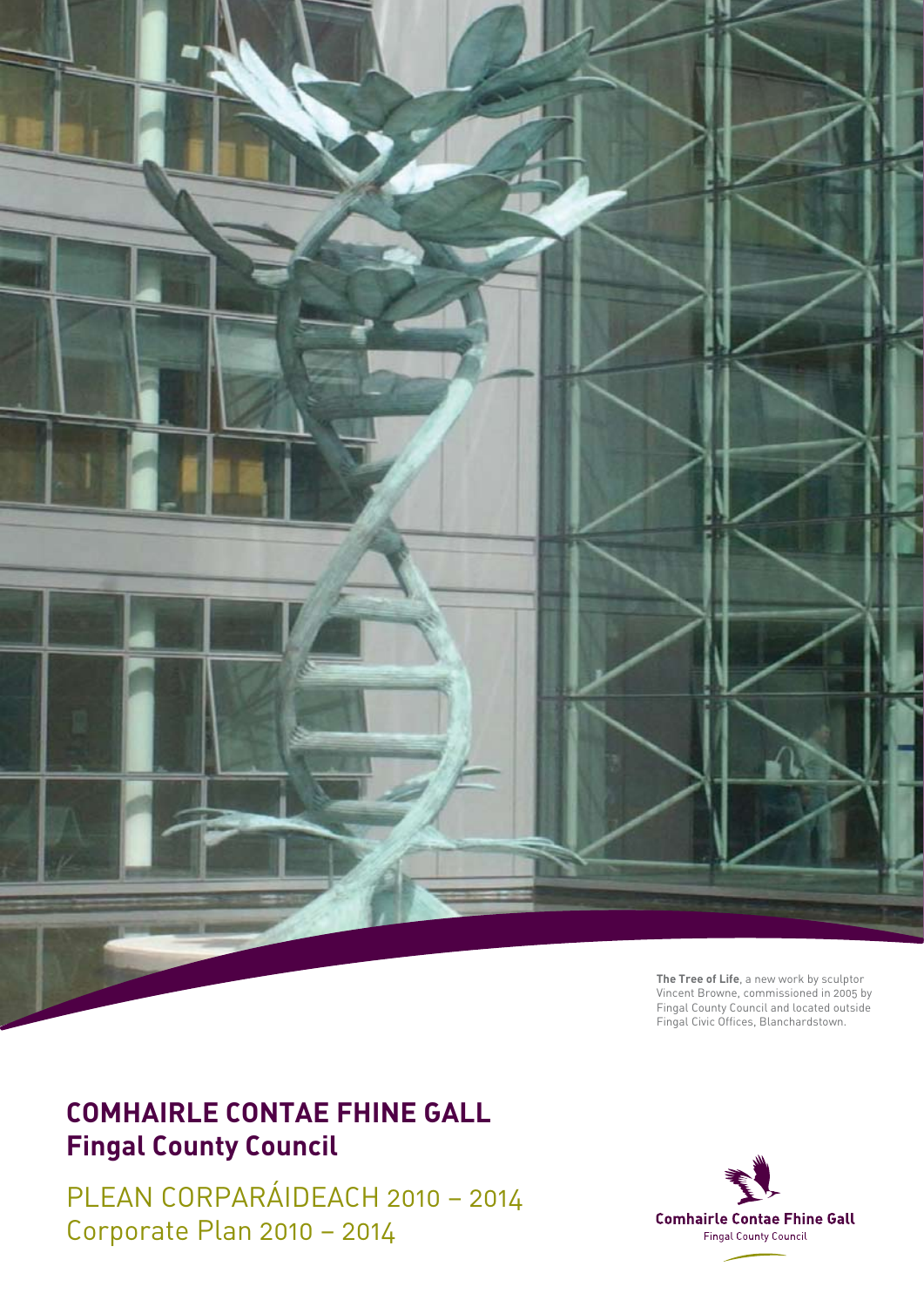

**The Tree of Life**, a new work by sculptor Vincent Browne, commissioned in 2005 by Fingal County Council and located outside Fingal Civic Offices, Blanchardstown.

### **Comhairle Contae Fhine Gall Fingal County Council**

PLEAN CORPARÁIDEACH 2010 – 2014 Corporate Plan 2010 – 2014

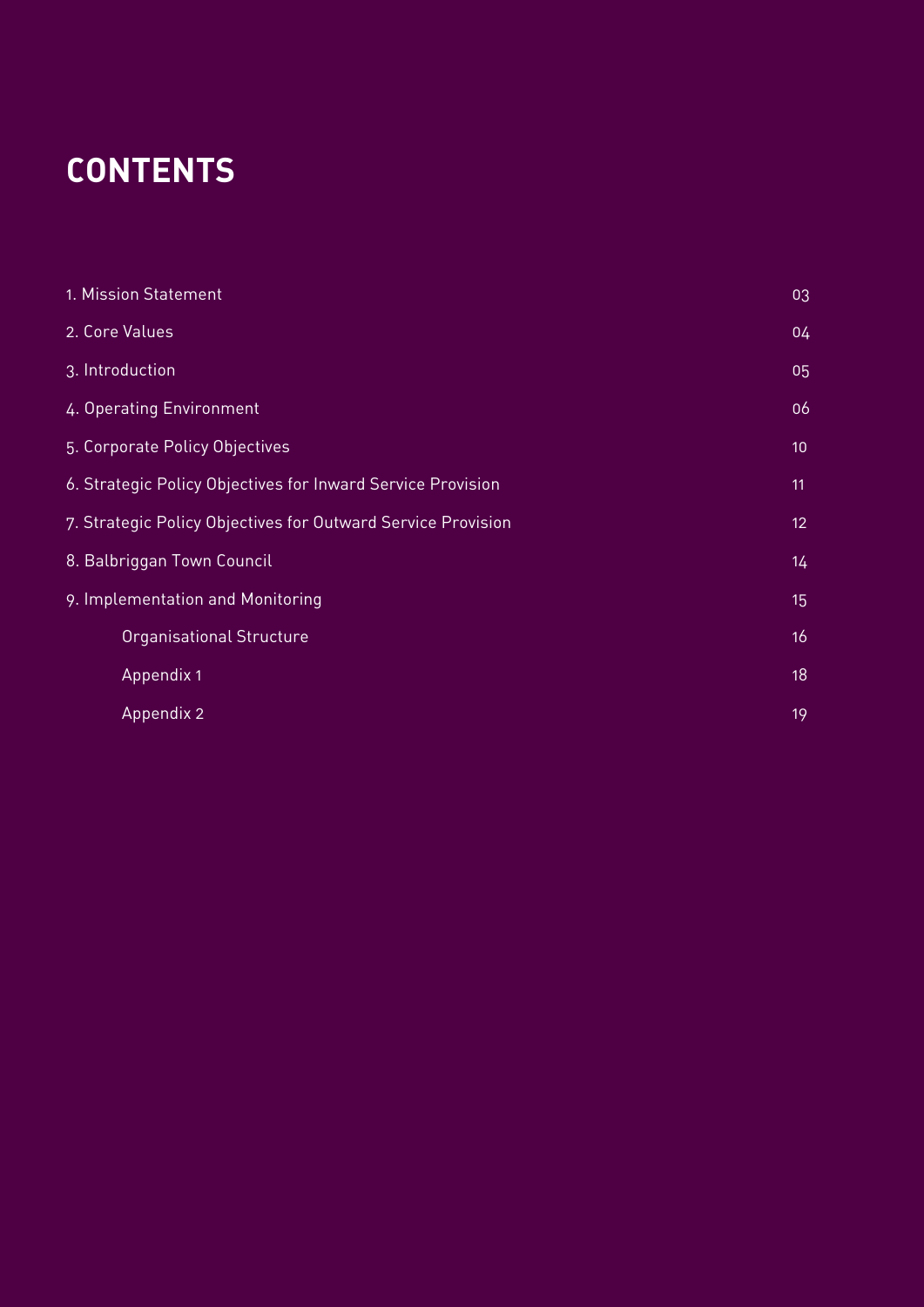# **contents**

| 1. Mission Statement                                         | 03              |
|--------------------------------------------------------------|-----------------|
| 2. Core Values                                               | 04              |
| 3. Introduction                                              | 05              |
| 4. Operating Environment                                     | 06              |
| 5. Corporate Policy Objectives                               | 10              |
| 6. Strategic Policy Objectives for Inward Service Provision  | 11              |
| 7. Strategic Policy Objectives for Outward Service Provision | 12 <sub>2</sub> |
| 8. Balbriggan Town Council                                   | 14 <sub>1</sub> |
| 9. Implementation and Monitoring                             | 15              |
| Organisational Structure                                     | 16              |
| Appendix 1                                                   | 18              |
| Appendix 2                                                   | 19              |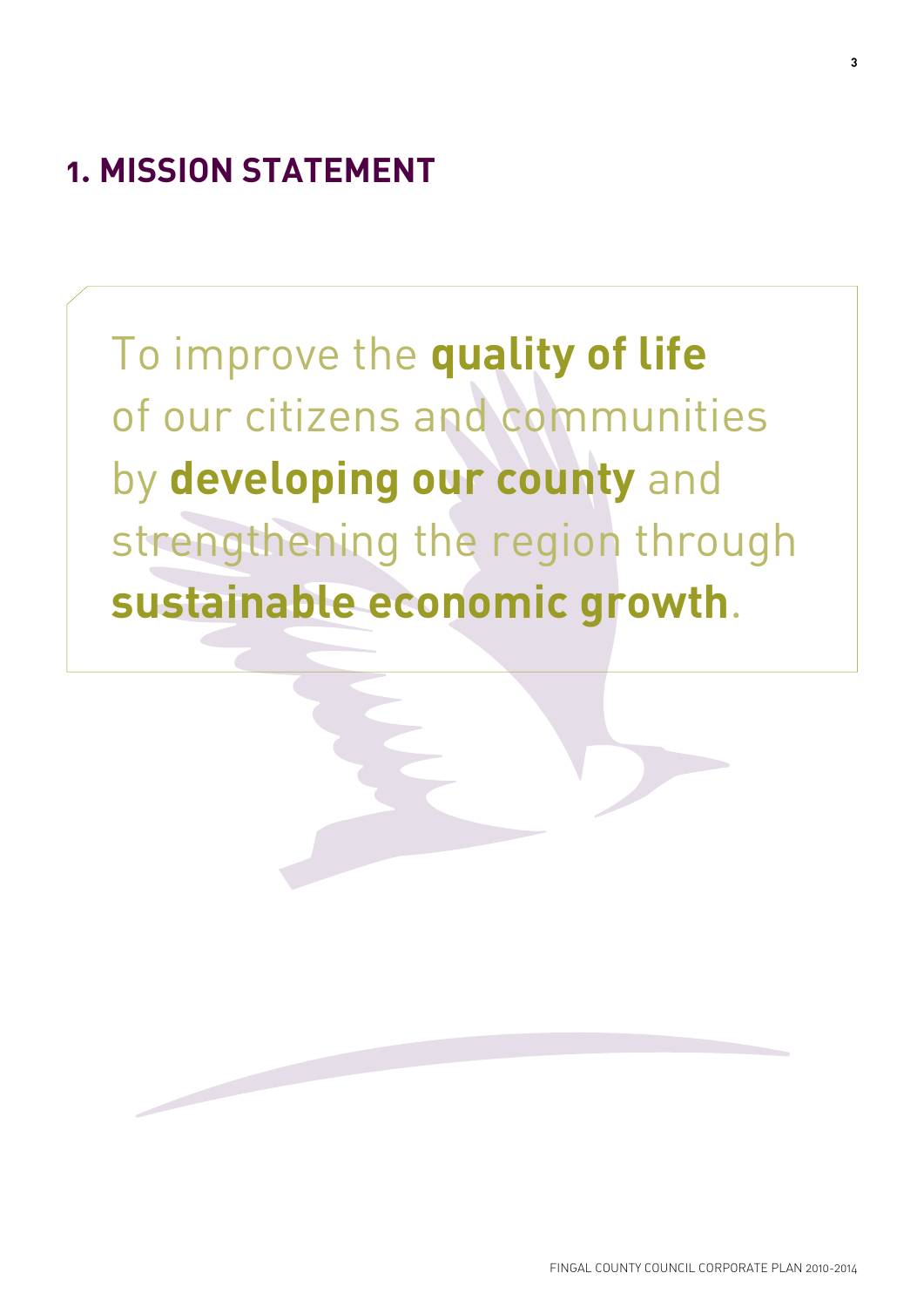# **1. Mission Statement**

To improve the **quality of life** of our citizens and communities by **developing our county** and strengthening the region through **sustainable economic growth**.

**3**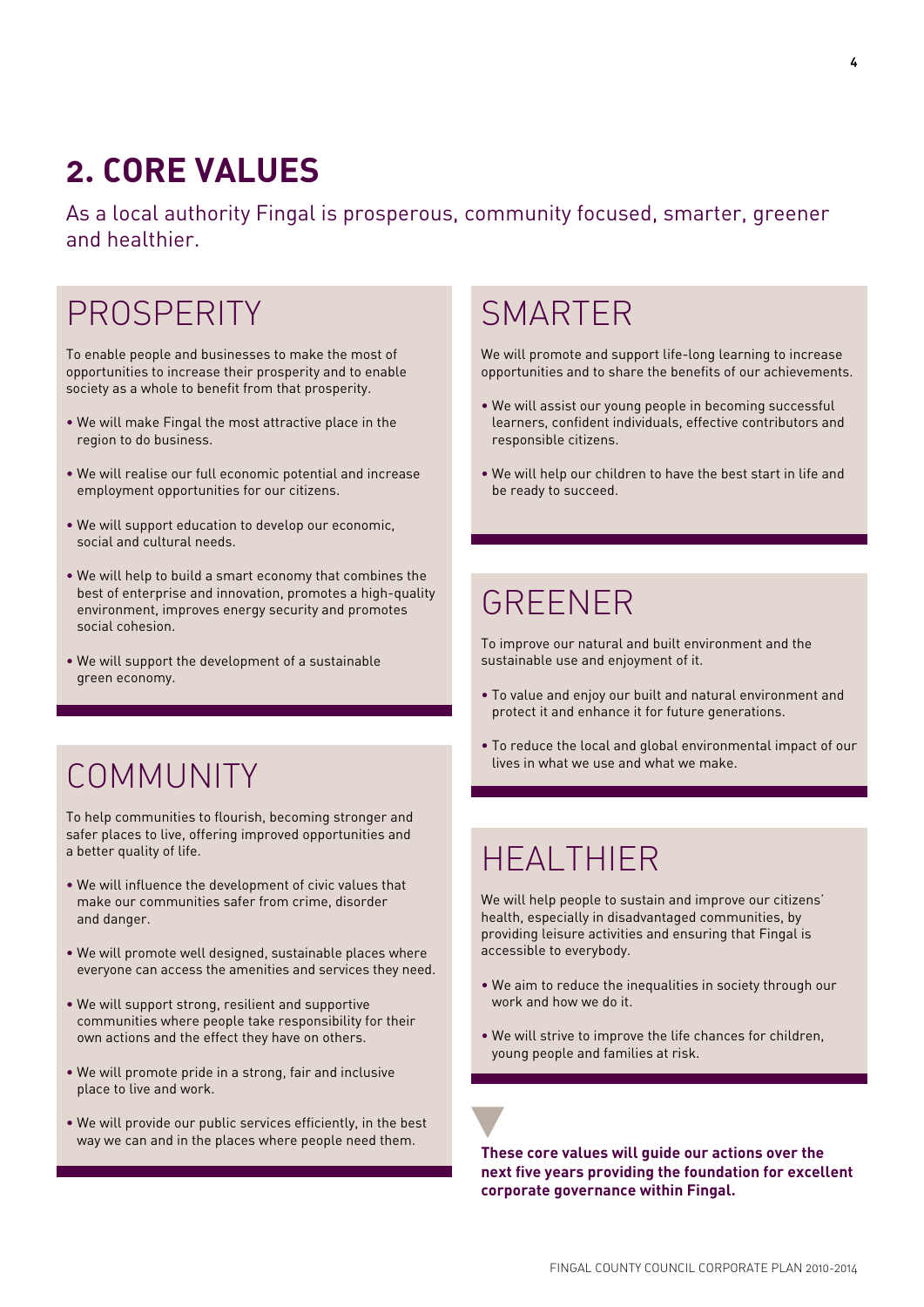# **2. Core Values**

As a local authority Fingal is prosperous, community focused, smarter, greener and healthier.

### **PROSPERITY**

To enable people and businesses to make the most of opportunities to increase their prosperity and to enable society as a whole to benefit from that prosperity.

- We will make Fingal the most attractive place in the region to do business.
- We will realise our full economic potential and increase employment opportunities for our citizens.
- We will support education to develop our economic, social and cultural needs.
- We will help to build a smart economy that combines the best of enterprise and innovation, promotes a high-quality environment, improves energy security and promotes social cohesion.
- We will support the development of a sustainable green economy.

# COMMUNITY

To help communities to flourish, becoming stronger and safer places to live, offering improved opportunities and a better quality of life.

- We will influence the development of civic values that make our communities safer from crime, disorder and danger.
- We will promote well designed, sustainable places where everyone can access the amenities and services they need.
- We will support strong, resilient and supportive communities where people take responsibility for their own actions and the effect they have on others.
- We will promote pride in a strong, fair and inclusive place to live and work.
- We will provide our public services efficiently, in the best

### **SMARTER**

We will promote and support life-long learning to increase opportunities and to share the benefits of our achievements.

- We will assist our young people in becoming successful learners, confident individuals, effective contributors and responsible citizens.
- We will help our children to have the best start in life and be ready to succeed.

### **GRFFNFR**

To improve our natural and built environment and the sustainable use and enjoyment of it.

- To value and enjoy our built and natural environment and protect it and enhance it for future generations.
- To reduce the local and global environmental impact of our lives in what we use and what we make.

### Healthier

We will help people to sustain and improve our citizens' health, especially in disadvantaged communities, by providing leisure activities and ensuring that Fingal is accessible to everybody.

- We aim to reduce the inequalities in society through our work and how we do it.
- We will strive to improve the life chances for children, young people and families at risk.

way we can and in the places where people need them. **These core values will guide our actions over the next five years providing the foundation for excellent corporate governance within Fingal.**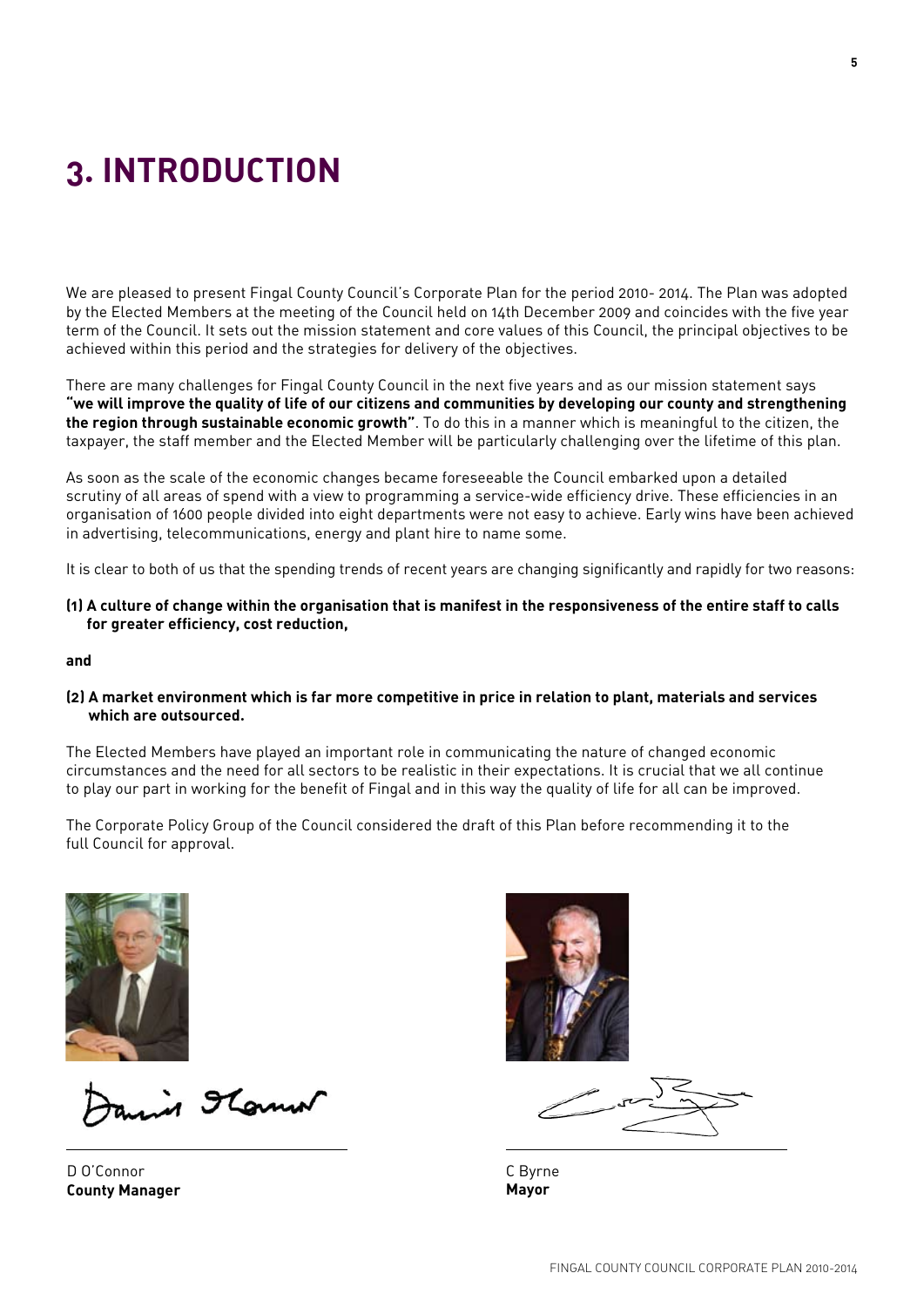# **3. Introduction**

We are pleased to present Fingal County Council's Corporate Plan for the period 2010- 2014. The Plan was adopted by the Elected Members at the meeting of the Council held on 14th December 2009 and coincides with the five year term of the Council. It sets out the mission statement and core values of this Council, the principal objectives to be achieved within this period and the strategies for delivery of the objectives.

There are many challenges for Fingal County Council in the next five years and as our mission statement says **"we will improve the quality of life of our citizens and communities by developing our county and strengthening the region through sustainable economic growth"**. To do this in a manner which is meaningful to the citizen, the taxpayer, the staff member and the Elected Member will be particularly challenging over the lifetime of this plan.

As soon as the scale of the economic changes became foreseeable the Council embarked upon a detailed scrutiny of all areas of spend with a view to programming a service-wide efficiency drive. These efficiencies in an organisation of 1600 people divided into eight departments were not easy to achieve. Early wins have been achieved in advertising, telecommunications, energy and plant hire to name some.

It is clear to both of us that the spending trends of recent years are changing significantly and rapidly for two reasons:

**(1) A culture of change within the organisation that is manifest in the responsiveness of the entire staff to calls for greater efficiency, cost reduction,** 

#### **and**

**(2) A market environment which is far more competitive in price in relation to plant, materials and services which are outsourced.**

The Elected Members have played an important role in communicating the nature of changed economic circumstances and the need for all sectors to be realistic in their expectations. It is crucial that we all continue to play our part in working for the benefit of Fingal and in this way the quality of life for all can be improved.

The Corporate Policy Group of the Council considered the draft of this Plan before recommending it to the full Council for approval.



in Florent

D O'Connor **County Manager**



C Byrne **Mayor**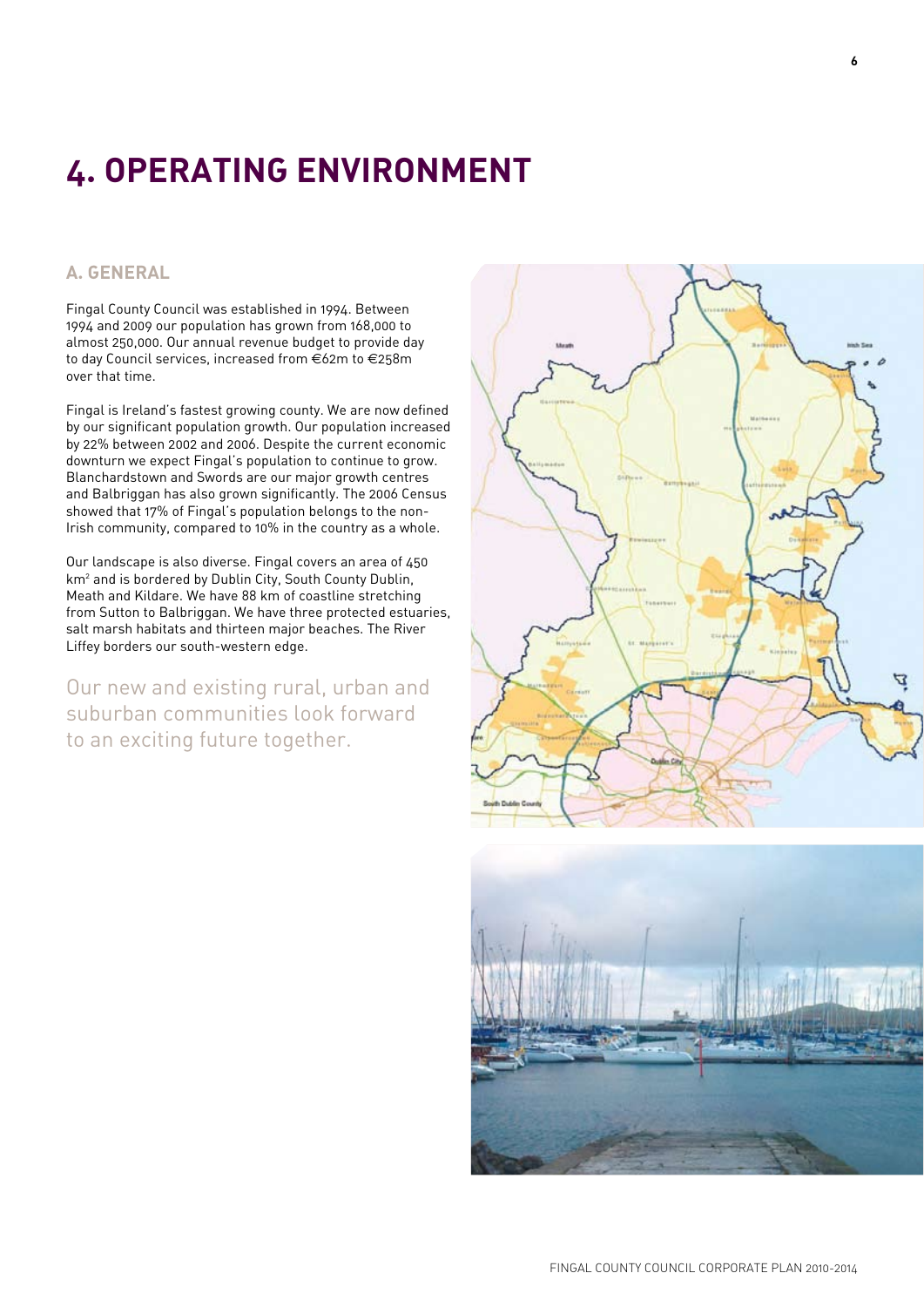# **4. Operating Environment**

### **A. General**

Fingal County Council was established in 1994. Between 1994 and 2009 our population has grown from 168,000 to almost 250,000. Our annual revenue budget to provide day to day Council services, increased from €62m to €258m over that time.

Fingal is Ireland's fastest growing county. We are now defined by our significant population growth. Our population increased by 22% between 2002 and 2006. Despite the current economic downturn we expect Fingal's population to continue to grow. Blanchardstown and Swords are our major growth centres and Balbriggan has also grown significantly. The 2006 Census showed that 17% of Fingal's population belongs to the non-Irish community, compared to 10% in the country as a whole.

Our landscape is also diverse. Fingal covers an area of 450 km<sup>2</sup> and is bordered by Dublin City, South County Dublin, Meath and Kildare. We have 88 km of coastline stretching from Sutton to Balbriggan. We have three protected estuaries, salt marsh habitats and thirteen major beaches. The River Liffey borders our south-western edge.

Our new and existing rural, urban and suburban communities look forward to an exciting future together.



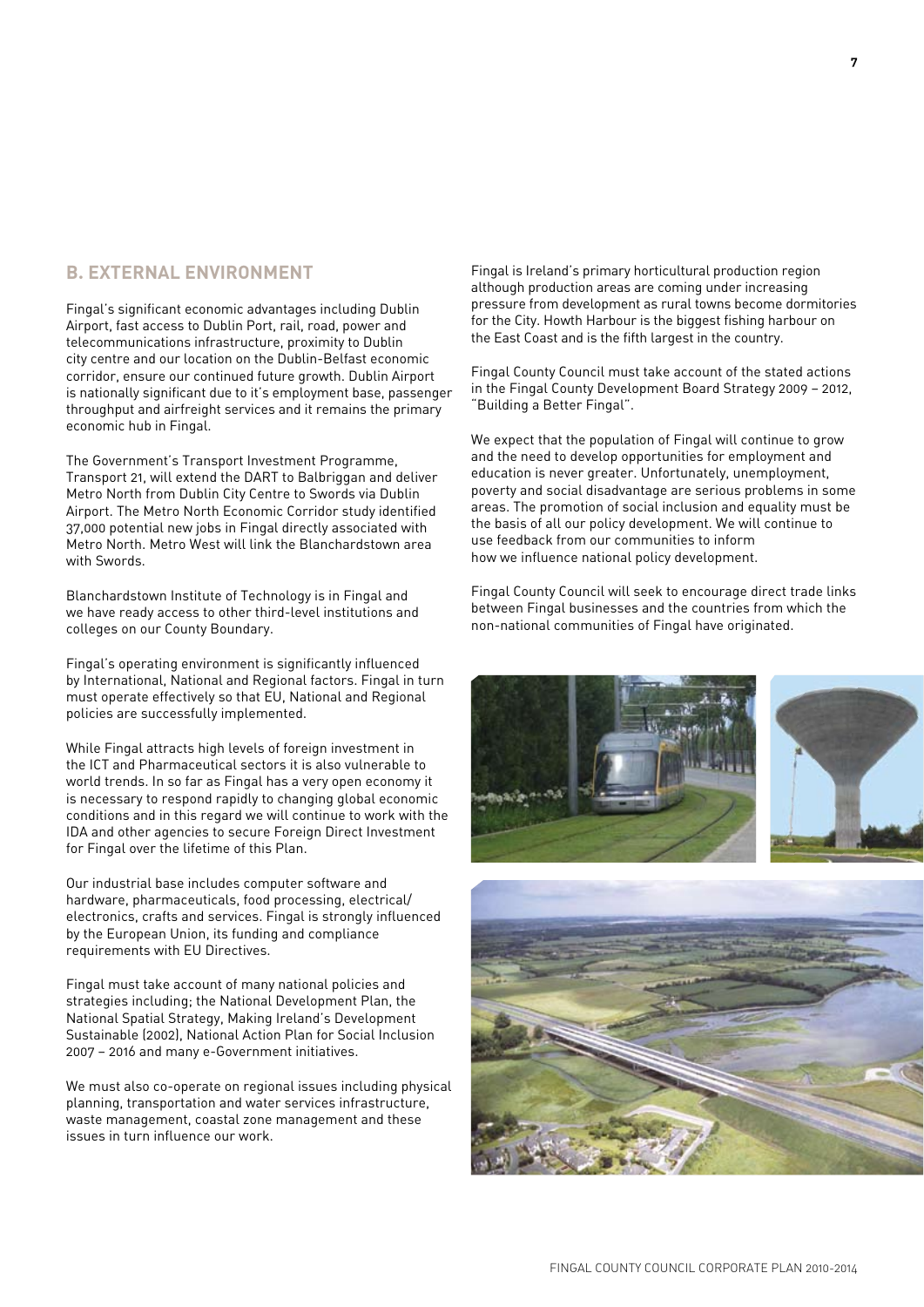### **B. EXTERNAL ENVIRONMENT**

Fingal's significant economic advantages including Dublin Airport, fast access to Dublin Port, rail, road, power and telecommunications infrastructure, proximity to Dublin city centre and our location on the Dublin-Belfast economic corridor, ensure our continued future growth. Dublin Airport is nationally significant due to it's employment base, passenger throughput and airfreight services and it remains the primary economic hub in Fingal.

The Government's Transport Investment Programme, Transport 21, will extend the DART to Balbriggan and deliver Metro North from Dublin City Centre to Swords via Dublin Airport. The Metro North Economic Corridor study identified 37,000 potential new jobs in Fingal directly associated with Metro North. Metro West will link the Blanchardstown area with Swords.

Blanchardstown Institute of Technology is in Fingal and we have ready access to other third-level institutions and colleges on our County Boundary.

Fingal's operating environment is significantly influenced by International, National and Regional factors. Fingal in turn must operate effectively so that EU, National and Regional policies are successfully implemented.

While Fingal attracts high levels of foreign investment in the ICT and Pharmaceutical sectors it is also vulnerable to world trends. In so far as Fingal has a very open economy it is necessary to respond rapidly to changing global economic conditions and in this regard we will continue to work with the IDA and other agencies to secure Foreign Direct Investment for Fingal over the lifetime of this Plan.

Our industrial base includes computer software and hardware, pharmaceuticals, food processing, electrical/ electronics, crafts and services. Fingal is strongly influenced by the European Union, its funding and compliance requirements with EU Directives.

Fingal must take account of many national policies and strategies including; the National Development Plan, the National Spatial Strategy, Making Ireland's Development Sustainable (2002), National Action Plan for Social Inclusion 2007 – 2016 and many e-Government initiatives.

We must also co-operate on regional issues including physical planning, transportation and water services infrastructure, waste management, coastal zone management and these issues in turn influence our work.

Fingal is Ireland's primary horticultural production region although production areas are coming under increasing pressure from development as rural towns become dormitories for the City. Howth Harbour is the biggest fishing harbour on the East Coast and is the fifth largest in the country.

Fingal County Council must take account of the stated actions in the Fingal County Development Board Strategy 2009 – 2012, "Building a Better Fingal".

We expect that the population of Fingal will continue to grow and the need to develop opportunities for employment and education is never greater. Unfortunately, unemployment, poverty and social disadvantage are serious problems in some areas. The promotion of social inclusion and equality must be the basis of all our policy development. We will continue to use feedback from our communities to inform how we influence national policy development.

Fingal County Council will seek to encourage direct trade links between Fingal businesses and the countries from which the non-national communities of Fingal have originated.





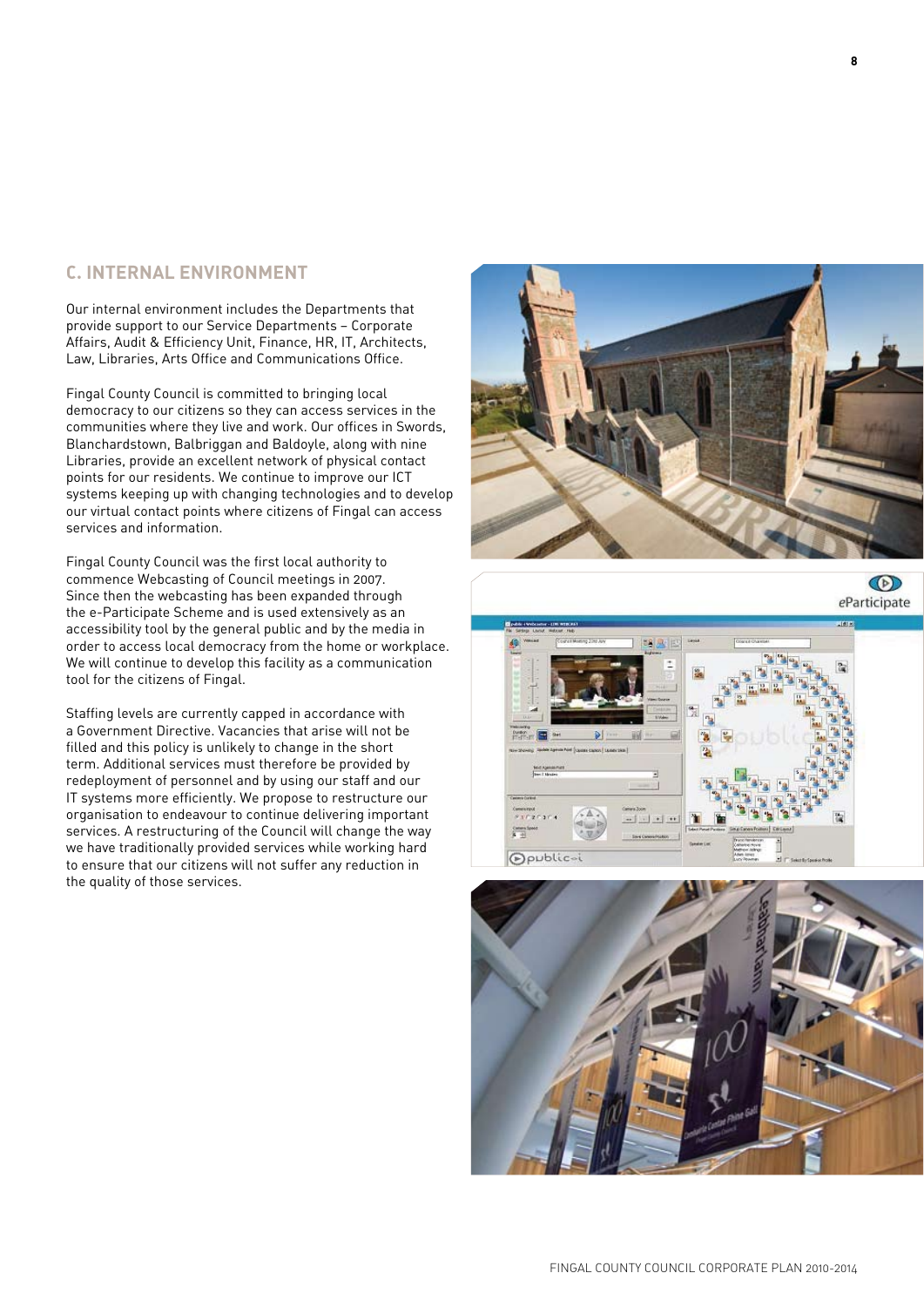### **C. Internal Environment**

Our internal environment includes the Departments that provide support to our Service Departments – Corporate Affairs, Audit & Efficiency Unit, Finance, HR, IT, Architects, Law, Libraries, Arts Office and Communications Office.

Fingal County Council is committed to bringing local democracy to our citizens so they can access services in the communities where they live and work. Our offices in Swords, Blanchardstown, Balbriggan and Baldoyle, along with nine Libraries, provide an excellent network of physical contact points for our residents. We continue to improve our ICT systems keeping up with changing technologies and to develop our virtual contact points where citizens of Fingal can access services and information.

Fingal County Council was the first local authority to commence Webcasting of Council meetings in 2007. Since then the webcasting has been expanded through the e-Participate Scheme and is used extensively as an accessibility tool by the general public and by the media in order to access local democracy from the home or workplace. We will continue to develop this facility as a communication tool for the citizens of Fingal.

Staffing levels are currently capped in accordance with a Government Directive. Vacancies that arise will not be filled and this policy is unlikely to change in the short term. Additional services must therefore be provided by redeployment of personnel and by using our staff and our IT systems more efficiently. We propose to restructure our organisation to endeavour to continue delivering important services. A restructuring of the Council will change the way we have traditionally provided services while working hard to ensure that our citizens will not suffer any reduction in the quality of those services.



 $\circledcirc$ eParticipate



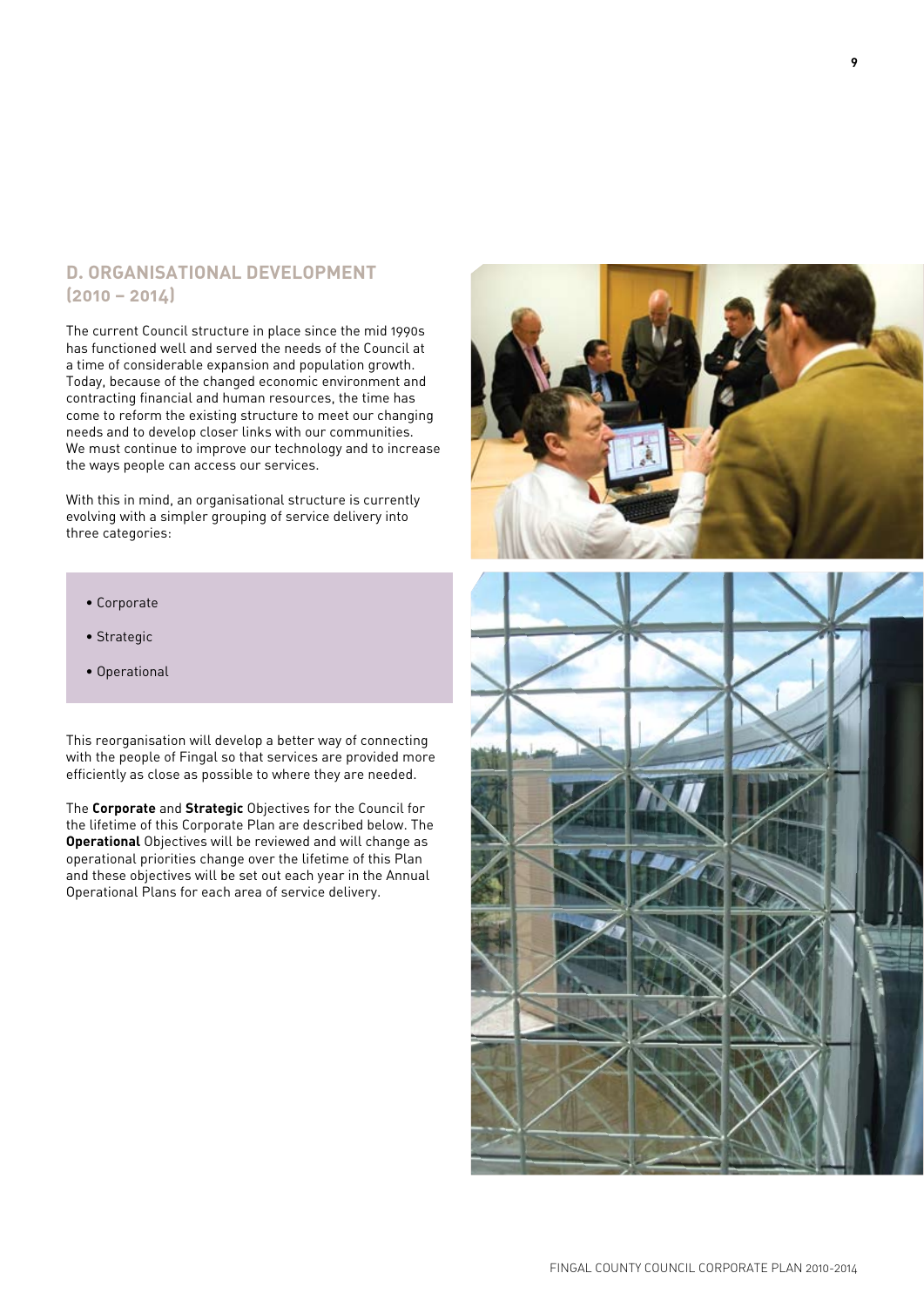### **D. Organisational Development (2010 – 2014)**

The current Council structure in place since the mid 1990s has functioned well and served the needs of the Council at a time of considerable expansion and population growth. Today, because of the changed economic environment and contracting financial and human resources, the time has come to reform the existing structure to meet our changing needs and to develop closer links with our communities. We must continue to improve our technology and to increase the ways people can access our services.

With this in mind, an organisational structure is currently evolving with a simpler grouping of service delivery into three categories:

- Corporate
- Strategic
- Operational

This reorganisation will develop a better way of connecting with the people of Fingal so that services are provided more efficiently as close as possible to where they are needed.

The **Corporate** and **Strategic** Objectives for the Council for the lifetime of this Corporate Plan are described below. The **Operational** Objectives will be reviewed and will change as operational priorities change over the lifetime of this Plan and these objectives will be set out each year in the Annual Operational Plans for each area of service delivery.

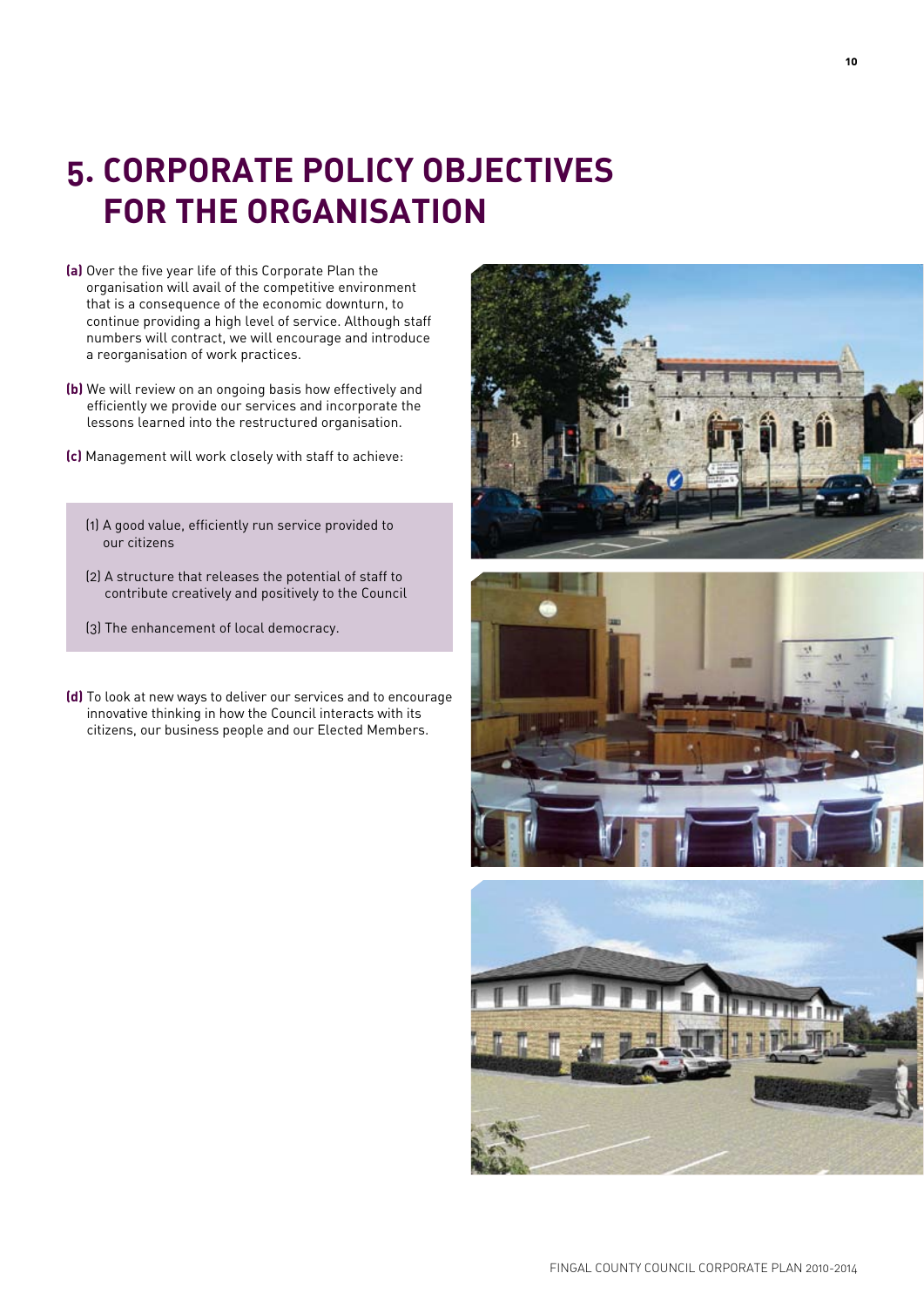### **5. Corporate Policy Objectives for the Organisation**

- **(a)** Over the five year life of this Corporate Plan the organisation will avail of the competitive environment that is a consequence of the economic downturn, to continue providing a high level of service. Although staff numbers will contract, we will encourage and introduce a reorganisation of work practices.
- **(b)** We will review on an ongoing basis how effectively and efficiently we provide our services and incorporate the lessons learned into the restructured organisation.
- **(c)** Management will work closely with staff to achieve:
	- (1) A good value, efficiently run service provided to our citizens
	- (2) A structure that releases the potential of staff to contribute creatively and positively to the Council
	- (3) The enhancement of local democracy.
- **(d)** To look at new ways to deliver our services and to encourage innovative thinking in how the Council interacts with its citizens, our business people and our Elected Members.





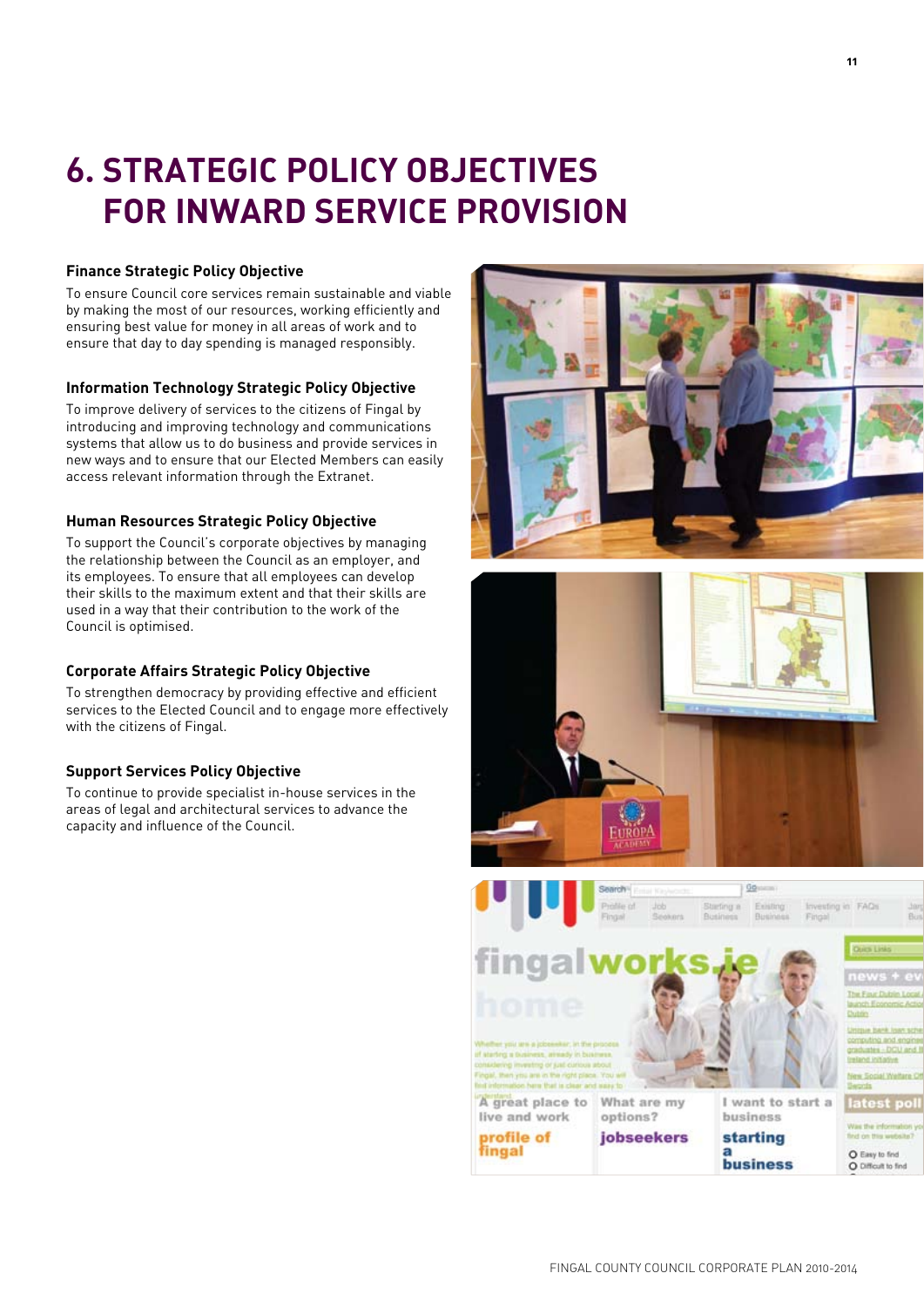# **6. Strategic Policy Objectives for Inward Service Provision**

### **Finance Strategic Policy Objective**

To ensure Council core services remain sustainable and viable by making the most of our resources, working efficiently and ensuring best value for money in all areas of work and to ensure that day to day spending is managed responsibly.

#### **Information Technology Strategic Policy Objective**

To improve delivery of services to the citizens of Fingal by introducing and improving technology and communications systems that allow us to do business and provide services in new ways and to ensure that our Elected Members can easily access relevant information through the Extranet.

#### **Human Resources Strategic Policy Objective**

To support the Council's corporate objectives by managing the relationship between the Council as an employer, and its employees. To ensure that all employees can develop their skills to the maximum extent and that their skills are used in a way that their contribution to the work of the Council is optimised.

#### **Corporate Affairs Strategic Policy Objective**

To strengthen democracy by providing effective and efficient services to the Elected Council and to engage more effectively with the citizens of Fingal.

#### **Support Services Policy Objective**

To continue to provide specialist in-house services in the areas of legal and architectural services to advance the capacity and influence of the Council.

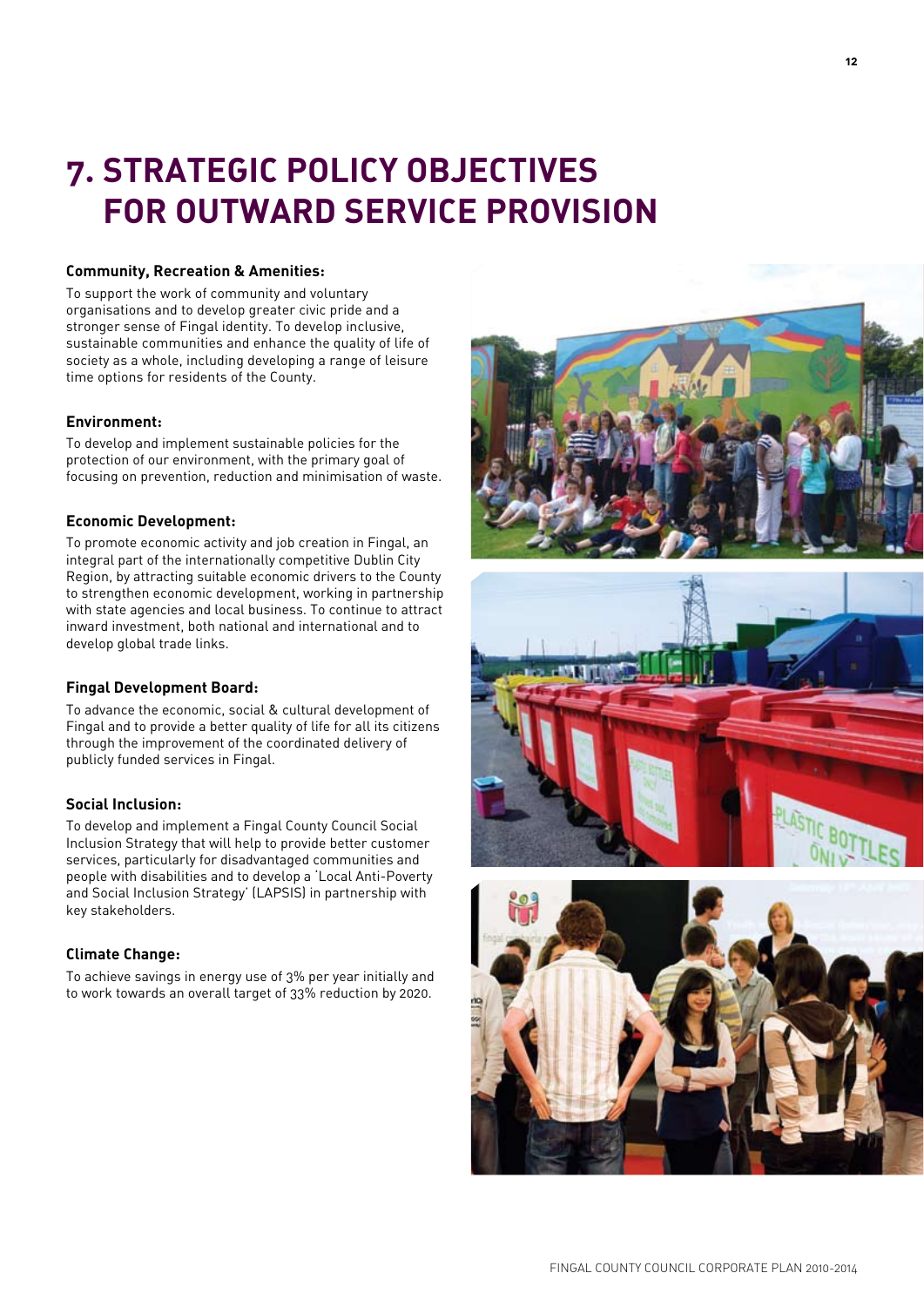# **7. Strategic Policy Objectives for Outward Service Provision**

#### **Community, Recreation & Amenities:**

To support the work of community and voluntary organisations and to develop greater civic pride and a stronger sense of Fingal identity. To develop inclusive, sustainable communities and enhance the quality of life of society as a whole, including developing a range of leisure time options for residents of the County.

#### **Environment:**

To develop and implement sustainable policies for the protection of our environment, with the primary goal of focusing on prevention, reduction and minimisation of waste.

#### **Economic Development:**

To promote economic activity and job creation in Fingal, an integral part of the internationally competitive Dublin City Region, by attracting suitable economic drivers to the County to strengthen economic development, working in partnership with state agencies and local business. To continue to attract inward investment, both national and international and to develop global trade links.

#### **Fingal Development Board:**

To advance the economic, social & cultural development of Fingal and to provide a better quality of life for all its citizens through the improvement of the coordinated delivery of publicly funded services in Fingal.

#### **Social Inclusion:**

To develop and implement a Fingal County Council Social Inclusion Strategy that will help to provide better customer services, particularly for disadvantaged communities and people with disabilities and to develop a 'Local Anti-Poverty and Social Inclusion Strategy' (LAPSIS) in partnership with key stakeholders.

#### **Climate Change:**

To achieve savings in energy use of 3% per year initially and to work towards an overall target of 33% reduction by 2020.





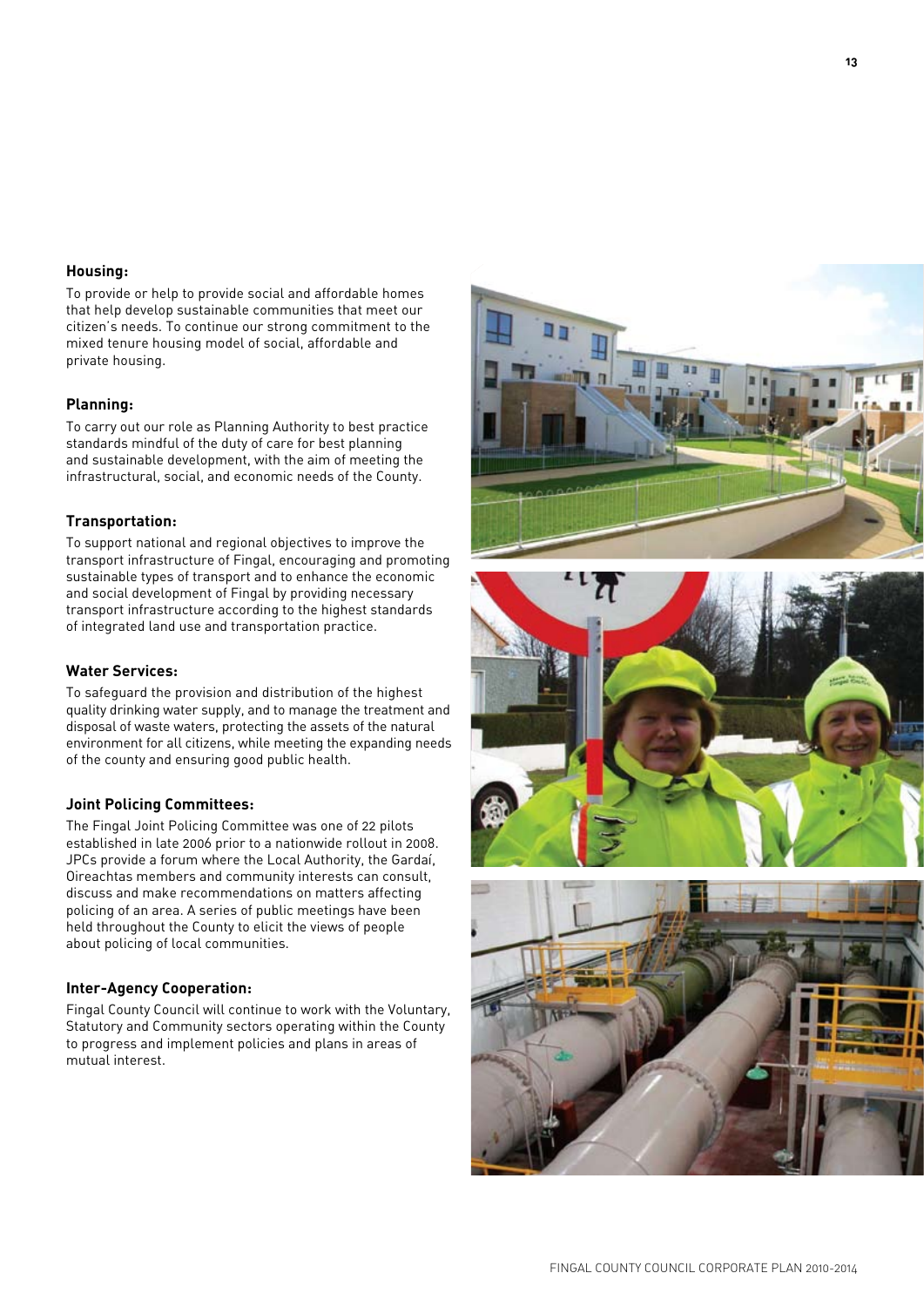#### **Housing:**

To provide or help to provide social and affordable homes that help develop sustainable communities that meet our citizen's needs. To continue our strong commitment to the mixed tenure housing model of social, affordable and private housing.

#### **Planning:**

To carry out our role as Planning Authority to best practice standards mindful of the duty of care for best planning and sustainable development, with the aim of meeting the infrastructural, social, and economic needs of the County.

#### **Transportation:**

To support national and regional objectives to improve the transport infrastructure of Fingal, encouraging and promoting sustainable types of transport and to enhance the economic and social development of Fingal by providing necessary transport infrastructure according to the highest standards of integrated land use and transportation practice.

#### **Water Services:**

To safeguard the provision and distribution of the highest quality drinking water supply, and to manage the treatment and disposal of waste waters, protecting the assets of the natural environment for all citizens, while meeting the expanding needs of the county and ensuring good public health.

#### **Joint Policing Committees:**

The Fingal Joint Policing Committee was one of 22 pilots established in late 2006 prior to a nationwide rollout in 2008. JPCs provide a forum where the Local Authority, the Gardaí, Oireachtas members and community interests can consult, discuss and make recommendations on matters affecting policing of an area. A series of public meetings have been held throughout the County to elicit the views of people about policing of local communities.

#### **Inter-Agency Cooperation:**

Fingal County Council will continue to work with the Voluntary, Statutory and Community sectors operating within the County to progress and implement policies and plans in areas of mutual interest.





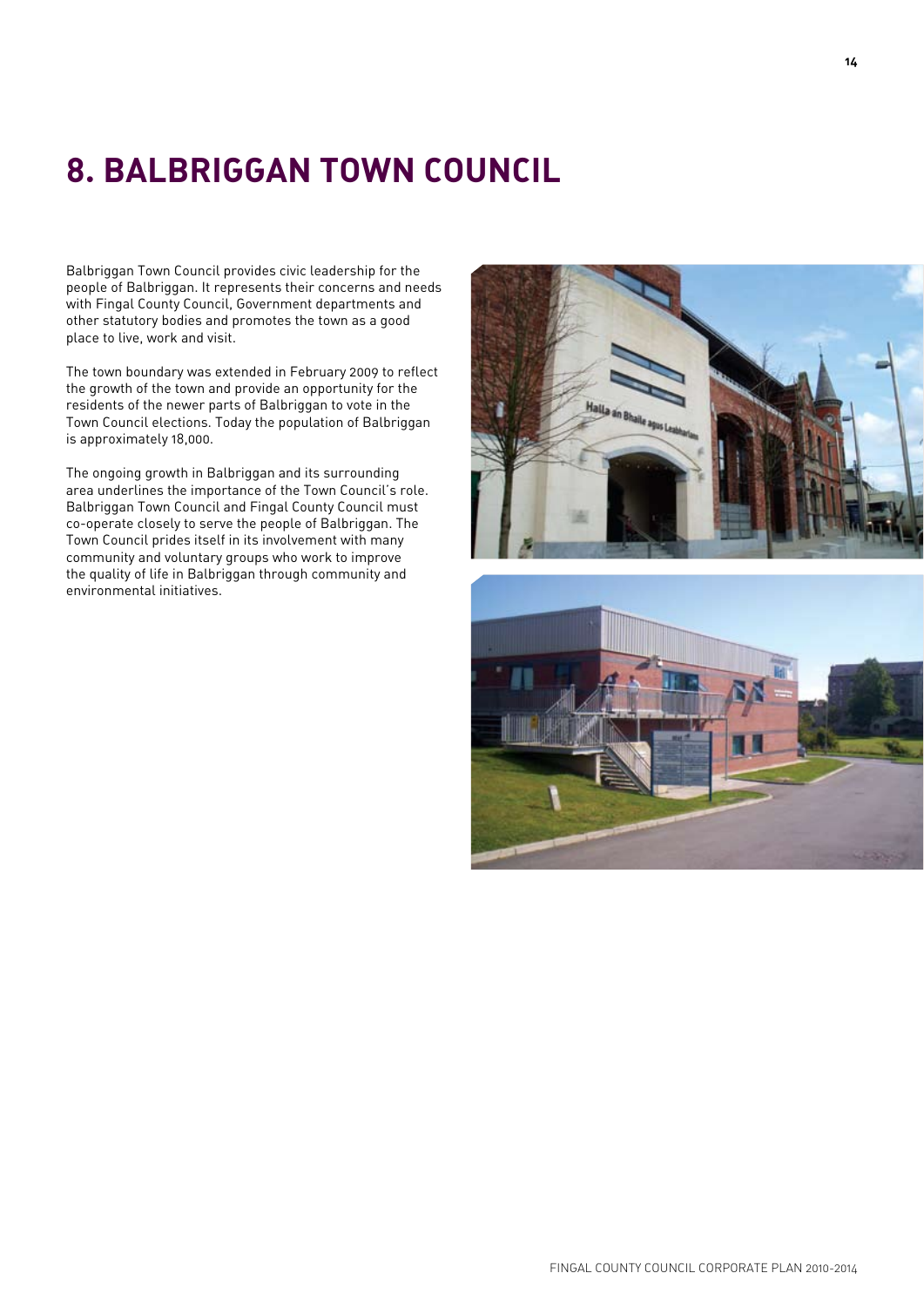# **8. Balbriggan Town Council**

Balbriggan Town Council provides civic leadership for the people of Balbriggan. It represents their concerns and needs with Fingal County Council, Government departments and other statutory bodies and promotes the town as a good place to live, work and visit.

The town boundary was extended in February 2009 to reflect the growth of the town and provide an opportunity for the residents of the newer parts of Balbriggan to vote in the Town Council elections. Today the population of Balbriggan is approximately 18,000.

The ongoing growth in Balbriggan and its surrounding area underlines the importance of the Town Council's role. Balbriggan Town Council and Fingal County Council must co-operate closely to serve the people of Balbriggan. The Town Council prides itself in its involvement with many community and voluntary groups who work to improve the quality of life in Balbriggan through community and environmental initiatives.

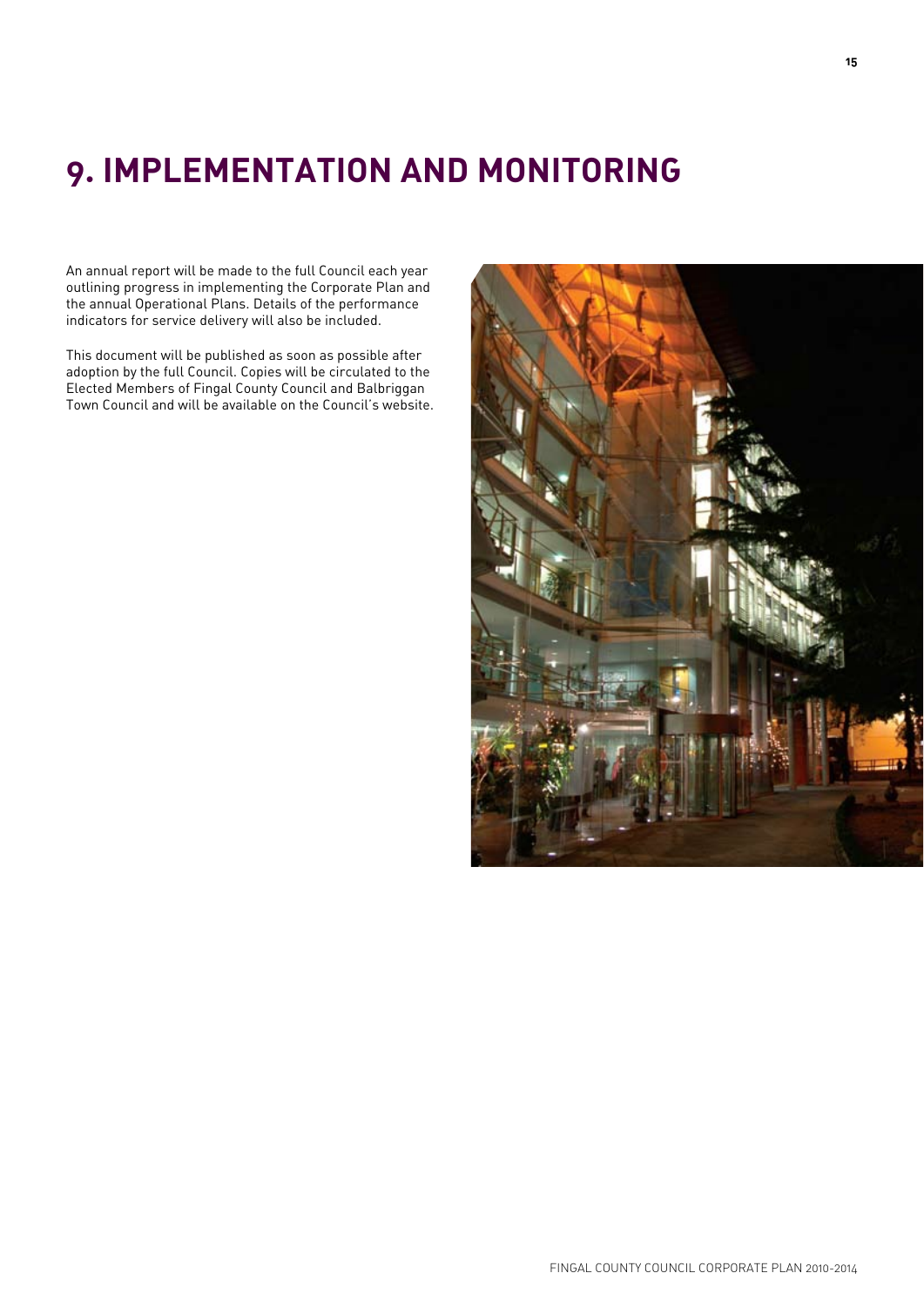# **9. Implementation and Monitoring**

An annual report will be made to the full Council each year outlining progress in implementing the Corporate Plan and the annual Operational Plans. Details of the performance indicators for service delivery will also be included.

This document will be published as soon as possible after adoption by the full Council. Copies will be circulated to the Elected Members of Fingal County Council and Balbriggan Town Council and will be available on the Council's website.

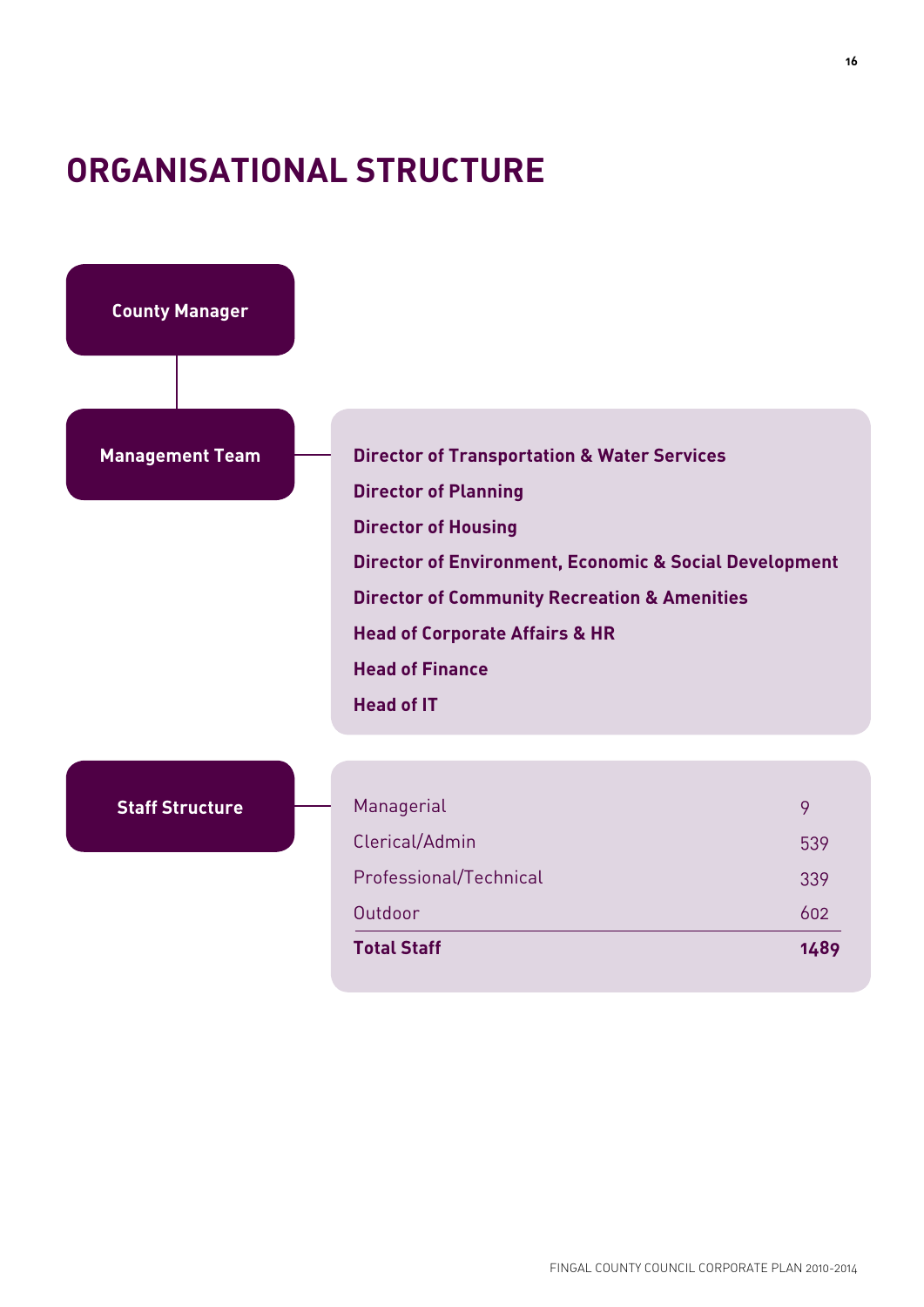### **ORGANISATIONAL STRUCTURE**

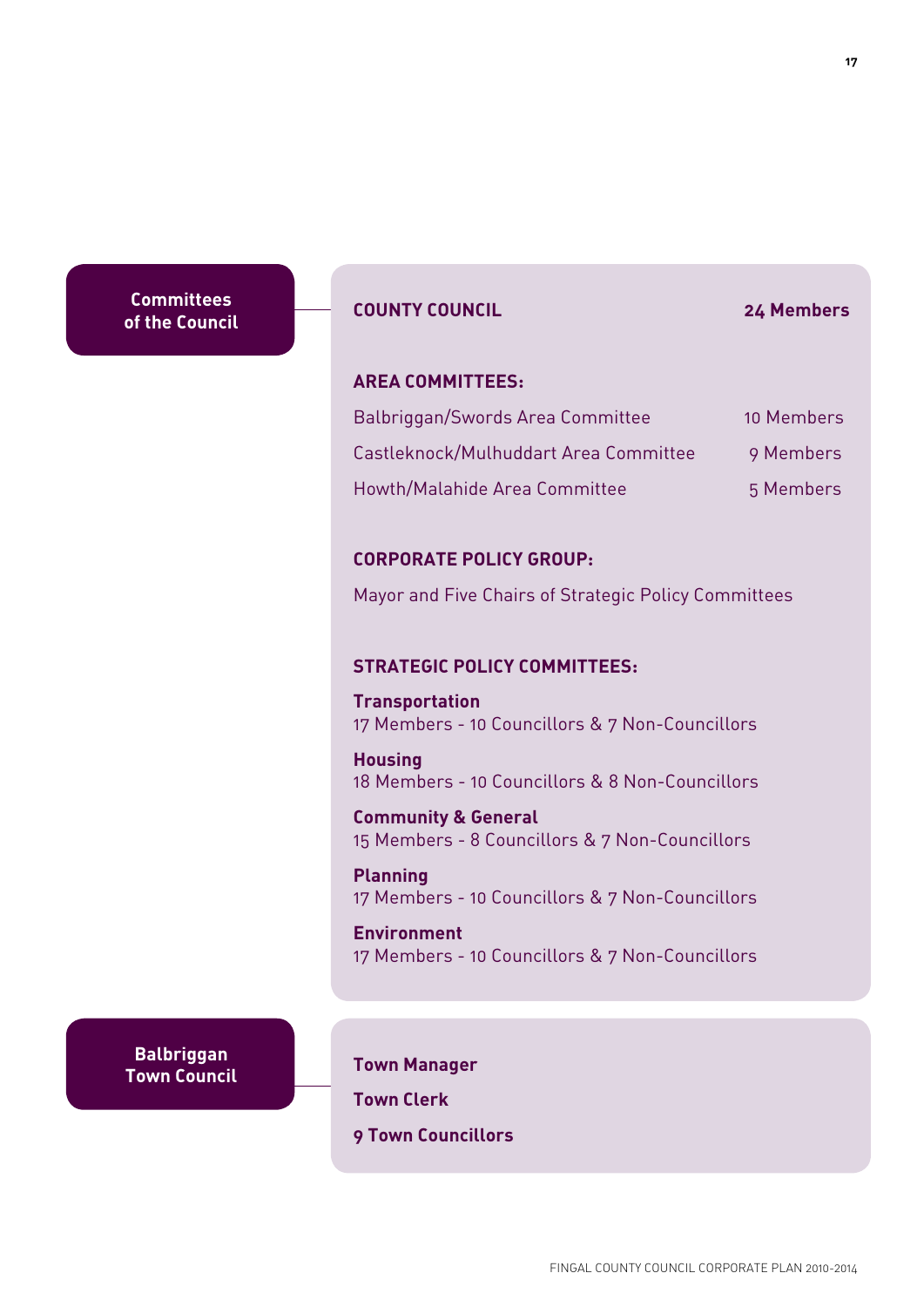**Committees of the Council**

### **County Council 24 Members**

### **Area Committees:**

| Balbriggan/Swords Area Committee      | 10 Members |
|---------------------------------------|------------|
| Castleknock/Mulhuddart Area Committee | 9 Members  |
| Howth/Malahide Area Committee         | 5 Members  |

### **Corporate Policy Group:**

Mayor and Five Chairs of Strategic Policy Committees

### **Strategic Policy Committees:**

**Transportation**  17 Members - 10 Councillors & 7 Non-Councillors

**Housing**  18 Members - 10 Councillors & 8 Non-Councillors

**Community & General** 15 Members - 8 Councillors & 7 Non-Councillors

**Planning** 17 Members - 10 Councillors & 7 Non-Councillors

**Environment** 17 Members - 10 Councillors & 7 Non-Councillors

**Balbriggan Town Council**

**Town Manager**

**Town Clerk**

**9 Town Councillors**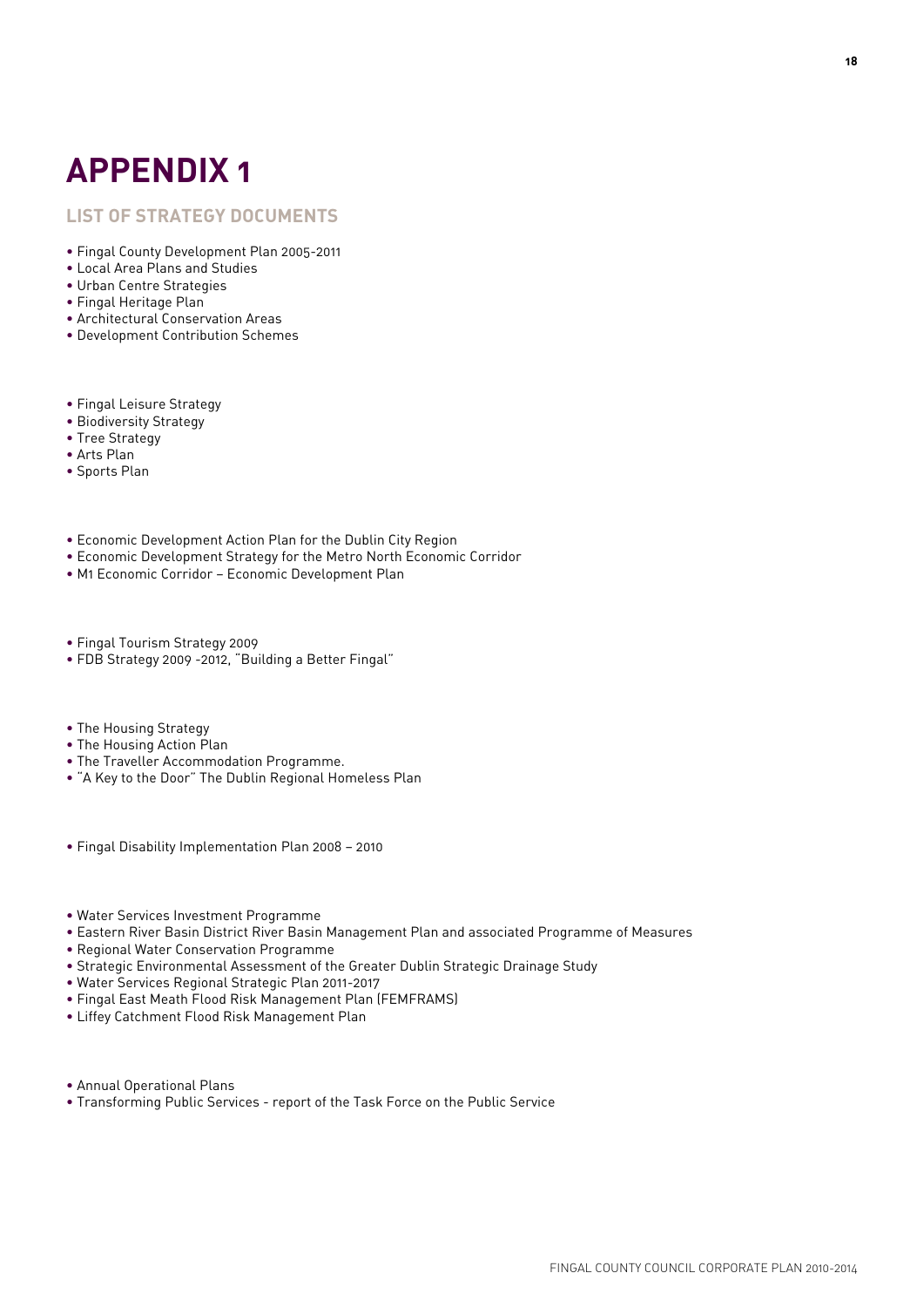# **Appendix 1**

### **List of Strategy Documents**

- Fingal County Development Plan 2005-2011
- Local Area Plans and Studies
- Urban Centre Strategies
- Fingal Heritage Plan
- Architectural Conservation Areas
- Development Contribution Schemes
- Fingal Leisure Strategy
- Biodiversity Strategy
- Tree Strategy
- Arts Plan
- Sports Plan
- Economic Development Action Plan for the Dublin City Region
- Economic Development Strategy for the Metro North Economic Corridor
- M1 Economic Corridor Economic Development Plan
- Fingal Tourism Strategy 2009
- FDB Strategy 2009 -2012, "Building a Better Fingal"
- The Housing Strategy
- The Housing Action Plan
- The Traveller Accommodation Programme.
- "A Key to the Door" The Dublin Regional Homeless Plan
- Fingal Disability Implementation Plan 2008 2010
- Water Services Investment Programme
- Eastern River Basin District River Basin Management Plan and associated Programme of Measures
- Regional Water Conservation Programme
- Strategic Environmental Assessment of the Greater Dublin Strategic Drainage Study
- Water Services Regional Strategic Plan 2011-2017
- Fingal East Meath Flood Risk Management Plan (FEMFRAMS)
- Liffey Catchment Flood Risk Management Plan
- Annual Operational Plans
- Transforming Public Services report of the Task Force on the Public Service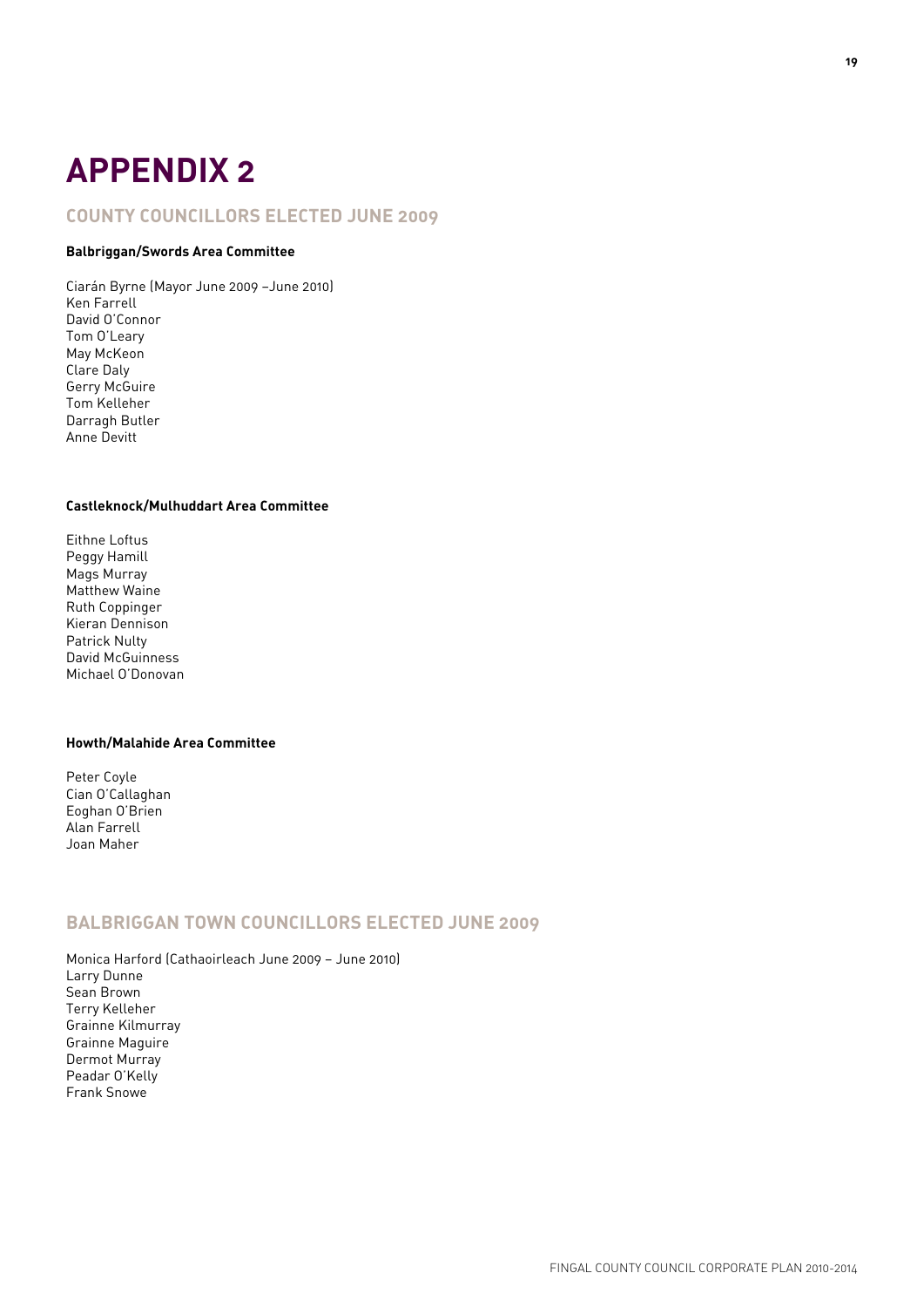# **Appendix 2**

### **County Councillors elected June 2009**

#### **Balbriggan/Swords Area Committee**

Ciarán Byrne (Mayor June 2009 –June 2010) Ken Farrell David O'Connor Tom O'Leary May McKeon Clare Daly Gerry McGuire Tom Kelleher Darragh Butler Anne Devitt

#### **Castleknock/Mulhuddart Area Committee**

Eithne Loftus Peggy Hamill Mags Murray Matthew Waine Ruth Coppinger Kieran Dennison Patrick Nulty David McGuinness Michael O'Donovan

#### **Howth/Malahide Area Committee**

Peter Coyle Cian O'Callaghan Eoghan O'Brien Alan Farrell Joan Maher

### **Balbriggan Town Councillors elected June 2009**

Monica Harford (Cathaoirleach June 2009 – June 2010) Larry Dunne Sean Brown Terry Kelleher Grainne Kilmurray Grainne Maguire Dermot Murray Peadar O'Kelly Frank Snowe